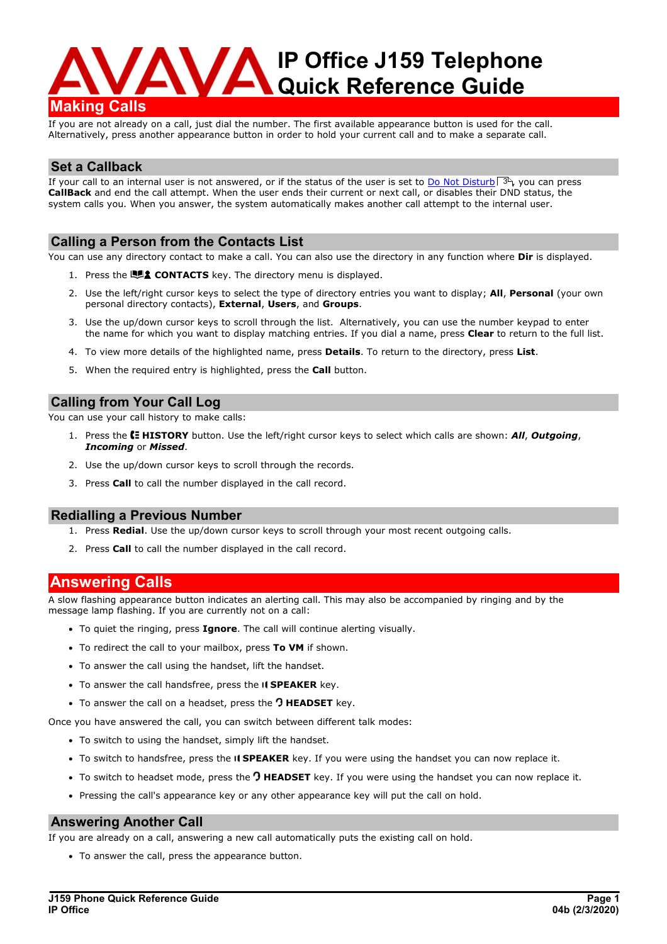

If you are not already on a call, just dial the number. The first available appearance button is used for the call. Alternatively, press another appearance button in order to hold your current call and to make a separate call.

## **Set a Callback**

If your call to an internal user is not answered, or if the status of the user is set to <u>Do Not [Disturb](#page-2-0)</u>| 3<sup>6</sup>), you can press **CallBack** and end the call attempt. When the user ends their current or next call, or disables their DND status, the system calls you. When you answer, the system automatically makes another call attempt to the internal user.

## **Calling a Person from the Contacts List**

You can use any directory contact to make a call. You can also use the directory in any function where **Dir** is displayed.

- 1. Press the **LUI CONTACTS** key. The directory menu is displayed.
- 2. Use the left/right cursor keys to select the type of directory entries you want to display; **All**, **Personal** (your own personal directory contacts), **External**, **Users**, and **Groups**.
- 3. Use the up/down cursor keys to scroll through the list. Alternatively, you can use the number keypad to enter the name for which you want to display matching entries. If you dial a name, press **Clear** to return to the full list.
- 4. To view more details of the highlighted name, press **Details**. To return to the directory, press **List**.
- 5. When the required entry is highlighted, press the **Call** button.

## **Calling from Your Call Log**

You can use your call history to make calls:

- 1. Press the **HISTORY** button. Use the left/right cursor keys to select which calls are shown: *All*, *Outgoing*, *Incoming* or *Missed*.
- 2. Use the up/down cursor keys to scroll through the records.
- 3. Press **Call** to call the number displayed in the call record.

### **Redialling a Previous Number**

- 1. Press **Redial**. Use the up/down cursor keys to scroll through your most recent outgoing calls.
- 2. Press **Call** to call the number displayed in the call record.

# **Answering Calls**

A slow flashing appearance button indicates an alerting call. This may also be accompanied by ringing and by the message lamp flashing. If you are currently not on a call:

- · To quiet the ringing, press **Ignore**. The call will continue alerting visually.
- · To redirect the call to your mailbox, press **To VM** if shown.
- · To answer the call using the handset, lift the handset.
- To answer the call handsfree, press the **II SPEAKER** key.
- To answer the call on a headset, press the **O HEADSET** key.

Once you have answered the call, you can switch between different talk modes:

- · To switch to using the handset, simply lift the handset.
- · To switch to handsfree, press the **SPEAKER** key. If you were using the handset you can now replace it.
- · To switch to headset mode, press the **HEADSET** key. If you were using the handset you can now replace it.
- · Pressing the call's appearance key or any other appearance key will put the call on hold.

### **Answering Another Call**

If you are already on a call, answering a new call automatically puts the existing call on hold.

· To answer the call, press the appearance button.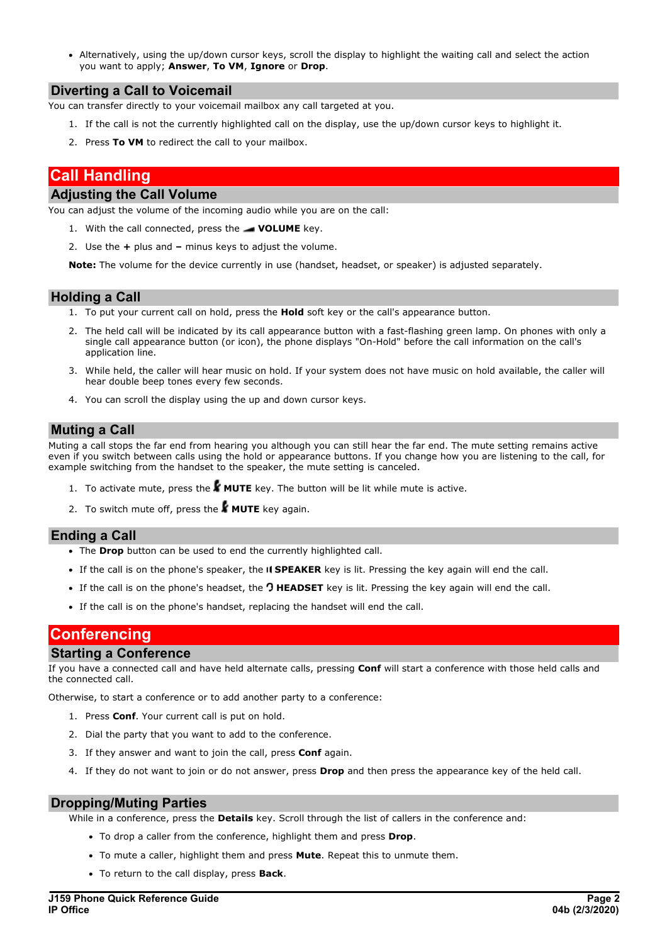· Alternatively, using the up/down cursor keys, scroll the display to highlight the waiting call and select the action you want to apply; **Answer**, **To VM**,**Ignore** or **Drop**.

### **Diverting a Call to Voicemail**

You can transfer directly to your voicemail mailbox any call targeted at you.

- 1. If the call is not the currently highlighted call on the display, use the up/down cursor keys to highlight it.
- 2. Press **To VM** to redirect the call to your mailbox.

# **Call Handling**

# **Adjusting the Call Volume**

You can adjust the volume of the incoming audio while you are on the call:

- 1. With the call connected, press the **VOLUME** key.
- 2. Use the **+** plus and **–** minus keys to adjust the volume.

**Note:** The volume for the device currently in use (handset, headset, or speaker) is adjusted separately.

### **Holding a Call**

- 1. To put your current call on hold, press the **Hold** soft key or the call's appearance button.
- 2. The held call will be indicated by its call appearance button with a fast-flashing green lamp. On phones with only a single call appearance button (or icon), the phone displays "On-Hold" before the call information on the call's application line.
- 3. While held, the caller will hear music on hold. If your system does not have music on hold available, the caller will hear double beep tones every few seconds.
- 4. You can scroll the display using the up and down cursor keys.

### **Muting a Call**

Muting a call stops the far end from hearing you although you can still hear the far end. The mute setting remains active even if you switch between calls using the hold or appearance buttons. If you change how you are listening to the call, for example switching from the handset to the speaker, the mute setting is canceled.

- 1. To activate mute, press the **MUTE** key. The button will be lit while mute is active.
- 2. To switch mute off, press the **MUTE** key again.

### **Ending <sup>a</sup> Call** ·

- The **Drop** button can be used to end the currently highlighted call.
- · If the call is on the phone's speaker, the **SPEAKER** key is lit. Pressing the key again will end the call.
- · If the call is on the phone's headset, the **HEADSET** key is lit. Pressing the key again will end the call.
- · If the call is on the phone's handset, replacing the handset will end the call.

# **Conferencing**

#### **Starting a Conference**

If you have a connected call and have held alternate calls, pressing **Conf** will start a conference with those held calls and the connected call.

Otherwise, to start a conference or to add another party to a conference:

- 1. Press **Conf**. Your current call is put on hold.
- 2. Dial the party that you want to add to the conference.
- 3. If they answer and want to join the call, press **Conf** again.
- 4. If they do not want to join ordo not answer, press **Drop** and then press the appearance key of the held call.

#### **Dropping/Muting Parties**

While in a conference, press the **Details** key. Scroll through the list of callers in the conference and:

- · To drop a caller from the conference, highlight them and press **Drop**.
- · To mute a caller, highlight them and press **Mute**. Repeat this to unmute them.
- · To return to the call display, press **Back**.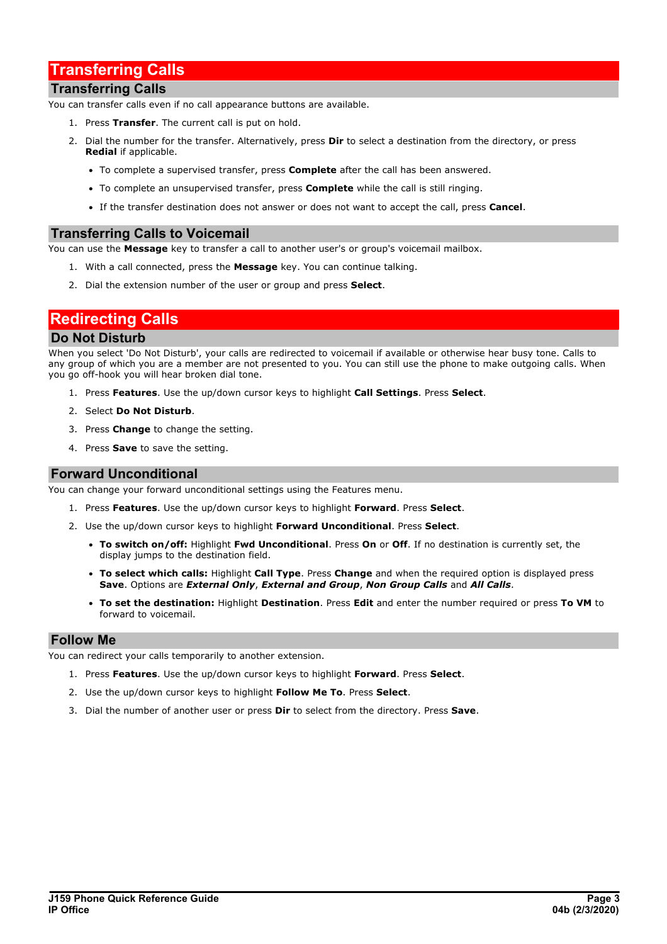# <span id="page-2-1"></span>**Transferring Calls**

## **Transferring Calls**

You can transfer calls even if no call appearance buttons are available.

- 1. Press **Transfer**. The current call is put on hold.
- 2. Dial the number for the transfer. Alternatively, press **Dir** to select a destination from the directory, or press **Redial** if applicable.
	- · To complete a supervised transfer, press **Complete** after the call has been answered.
	- · To complete an unsupervised transfer, press **Complete** while the call is still ringing.
	- · If the transfer destination does not answer or does not want to accept the call, press **Cancel**.

# **Transferring Calls to Voicemail**

You can use the **Message** key to transfer a call to another user's or group's voicemail mailbox.

- 1. With a call connected, press the **Message** key. You can continue talking.
- 2. Dial the extension number of the user or group and press **Select**.

# <span id="page-2-0"></span>**Redirecting Calls**

## **Do Not Disturb**

When you select 'Do Not Disturb', your calls are redirected to voicemail if available or otherwise hear busy tone. Calls to any group of which you are a member are not presented to you. You can still use the phone to make outgoing calls. When you go off-hook you will hear broken dial tone.

- 1. Press **Features**. Use the up/down cursor keys to highlight **Call Settings**. Press **Select**.
- 2. Select **Do Not Disturb**.
- 3. Press **Change** to change the setting.
- 4. Press **Save** to save the setting.

### **Forward Unconditional**

You can change your forward unconditional settings using the Features menu.

- 1. Press **Features**. Use the up/down cursor keys to highlight **Forward**. Press **Select**.
- 2. Use the up/down cursor keys to highlight **Forward Unconditional**. Press **Select**.
	- · **To switch on/off:** Highlight **Fwd Unconditional**. Press **On** or **Off**. If no destination is currently set, the display jumps to the destination field.
	- · **To select which calls:** Highlight **Call Type**. Press **Change** and when the required option is displayed press **Save**. Options are *External Only*, *External and Group*, *Non Group Calls* and *All Calls*.
	- · **To set the destination:** Highlight **Destination**. Press **Edit** and enter the number required orpress **To VM** to forward to voicemail.

### **Follow Me**

You can redirect your calls temporarily to another extension.

- 1. Press **Features**. Use the up/down cursor keys to highlight **Forward**. Press **Select**.
- 2. Use the up/down cursor keys to highlight **Follow Me To**. Press **Select**.
- 3. Dial the number of another user or press **Dir** to select from the directory. Press **Save**.